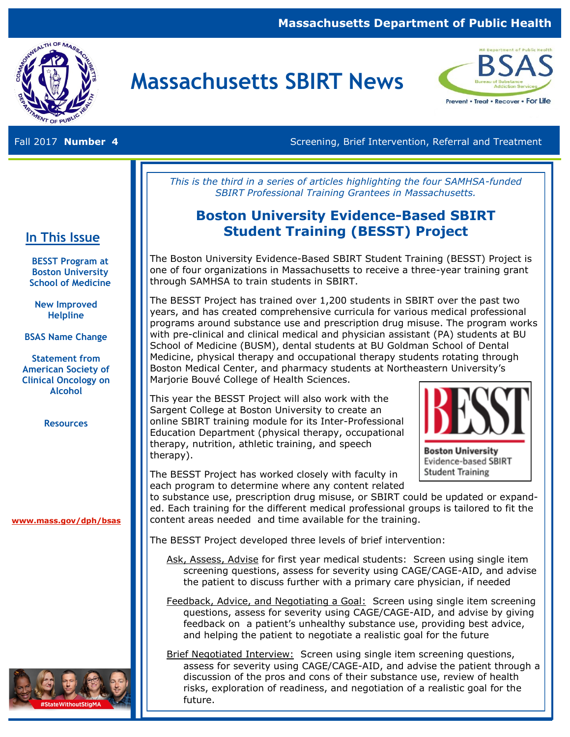### **Massachusetts Department of Public Health**



# **Massachusetts SBIRT News**



Fall 2017 **Number 4 Screening, Brief Intervention, Referral and Treatment** Screening, Brief Intervention, Referral and Treatment

*This is the third in a series of articles highlighting the four SAMHSA-funded SBIRT Professional Training Grantees in Massachusetts.* 

### **Boston University Evidence-Based SBIRT Student Training (BESST) Project**

The Boston University Evidence-Based SBIRT Student Training (BESST) Project is one of four organizations in Massachusetts to receive a three-year training grant through SAMHSA to train students in SBIRT.

The BESST Project has trained over 1,200 students in SBIRT over the past two years, and has created comprehensive curricula for various medical professional programs around substance use and prescription drug misuse. The program works with pre-clinical and clinical medical and physician assistant (PA) students at BU School of Medicine (BUSM), dental students at BU Goldman School of Dental Medicine, physical therapy and occupational therapy students rotating through Boston Medical Center, and pharmacy students at Northeastern University's Marjorie Bouvé College of Health Sciences.

This year the BESST Project will also work with the Sargent College at Boston University to create an online SBIRT training module for its Inter-Professional Education Department (physical therapy, occupational therapy, nutrition, athletic training, and speech therapy).



**Boston University** Evidence-based SBIRT **Student Training** 

The BESST Project has worked closely with faculty in each program to determine where any content related

to substance use, prescription drug misuse, or SBIRT could be updated or expanded. Each training for the different medical professional groups is tailored to fit the content areas needed and time available for the training.

The BESST Project developed three levels of brief intervention:

- Ask, Assess, Advise for first year medical students: Screen using single item screening questions, assess for severity using CAGE/CAGE-AID, and advise the patient to discuss further with a primary care physician, if needed
- Feedback, Advice, and Negotiating a Goal: Screen using single item screening questions, assess for severity using CAGE/CAGE-AID, and advise by giving feedback on a patient's unhealthy substance use, providing best advice, and helping the patient to negotiate a realistic goal for the future
- Brief Negotiated Interview: Screen using single item screening questions, assess for severity using CAGE/CAGE-AID, and advise the patient through a discussion of the pros and cons of their substance use, review of health risks, exploration of readiness, and negotiation of a realistic goal for the future.

#### **In This Issue**

**BESST Program at Boston University School of Medicine**  $\overline{\phantom{a}}$ 

**New Improved Helpline**

**BSAS Name Change**

**Statement from American Society of Clinical Oncology on Alcohol** 

**Resources**

**[www.mass.gov/dph/bsas](http://www.mass.gov/dph/bsas)**

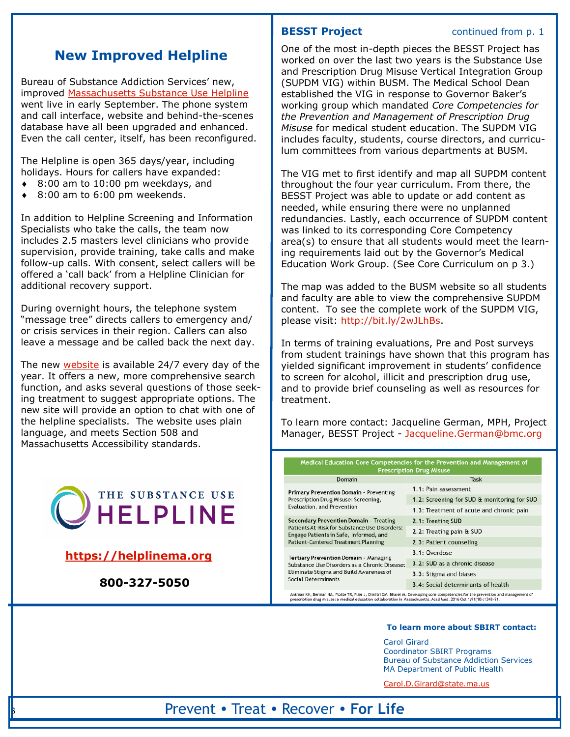### **New Improved Helpline**

Bureau of Substance Addiction Services' new, improved [Massachusetts Substance Use Helpline](https://helplinema.org/) went live in early September. The phone system and call interface, website and behind-the-scenes database have all been upgraded and enhanced. Even the call center, itself, has been reconfigured.

The Helpline is open 365 days/year, including holidays. Hours for callers have expanded:

- 8:00 am to 10:00 pm weekdays, and
- 8:00 am to 6:00 pm weekends.

In addition to Helpline Screening and Information Specialists who take the calls, the team now includes 2.5 masters level clinicians who provide supervision, provide training, take calls and make follow-up calls. With consent, select callers will be offered a 'call back' from a Helpline Clinician for additional recovery support.

During overnight hours, the telephone system "message tree" directs callers to emergency and/ or crisis services in their region. Callers can also leave a message and be called back the next day.

The new [website](https://helplinema.org/) is available 24/7 every day of the year. It offers a new, more comprehensive search function, and asks several questions of those seeking treatment to suggest appropriate options. The new site will provide an option to chat with one of the helpline specialists. The website uses plain language, and meets Section 508 and Massachusetts Accessibility standards.



**[https://helplinema.org](https://helplinema.org/)**

 **800-327-5050** 

3

#### **BESST Project** continued from p. 1

One of the most in-depth pieces the BESST Project has worked on over the last two years is the Substance Use and Prescription Drug Misuse Vertical Integration Group (SUPDM VIG) within BUSM. The Medical School Dean established the VIG in response to Governor Baker's working group which mandated *Core Competencies for the Prevention and Management of Prescription Drug Misuse* for medical student education. The SUPDM VIG includes faculty, students, course directors, and curriculum committees from various departments at BUSM.

The VIG met to first identify and map all SUPDM content throughout the four year curriculum. From there, the BESST Project was able to update or add content as needed, while ensuring there were no unplanned redundancies. Lastly, each occurrence of SUPDM content was linked to its corresponding Core Competency area(s) to ensure that all students would meet the learning requirements laid out by the Governor's Medical Education Work Group. (See Core Curriculum on p 3.)

The map was added to the BUSM website so all students and faculty are able to view the comprehensive SUPDM content. To see the complete work of the SUPDM VIG, please visit: [http://bit.ly/2wJLhBs.](http://bit.ly/2wJLhBs)

In terms of training evaluations, Pre and Post surveys from student trainings have shown that this program has yielded significant improvement in students' confidence to screen for alcohol, illicit and prescription drug use, and to provide brief counseling as well as resources for treatment.

To learn more contact: Jacqueline German, MPH, Project Manager, BESST Project - [Jacqueline.German@bmc.org](mailto:German,%20Jacqueline%20%3cJacqueline.German@bmc.org%3e)

| Medical Education Core Competencies for the Prevention and Management of<br><b>Prescription Drug Misuse</b>                                              |                                                                                                                                   |  |  |  |
|----------------------------------------------------------------------------------------------------------------------------------------------------------|-----------------------------------------------------------------------------------------------------------------------------------|--|--|--|
| Domain                                                                                                                                                   | Task                                                                                                                              |  |  |  |
| <b>Primary Prevention Domain - Preventing</b>                                                                                                            | 1.1: Pain assessment                                                                                                              |  |  |  |
| Prescription Drug Misuse: Screening,                                                                                                                     | 1.2: Screening for SUD & monitoring for SUD                                                                                       |  |  |  |
| Evaluation, and Prevention                                                                                                                               | 1.3: Treatment of acute and chronic pain                                                                                          |  |  |  |
| <b>Secondary Prevention Domain - Treating</b>                                                                                                            | 2.1: Treating SUD                                                                                                                 |  |  |  |
| Patients At-Risk for Substance Use Disorders:<br>Engage Patients in Safe, Informed, and                                                                  | 2.2: Treating pain & SUD                                                                                                          |  |  |  |
| Patient-Centered Treatment Planning                                                                                                                      | 2.3: Patient counseling                                                                                                           |  |  |  |
|                                                                                                                                                          | 3.1: Overdose                                                                                                                     |  |  |  |
| Tertiary Prevention Domain - Managing<br>Substance Use Disorders as a Chronic Disease:<br>Eliminate Stigma and Build Awareness of<br>Social Determinants | 3.2: SUD as a chronic disease                                                                                                     |  |  |  |
|                                                                                                                                                          | 3.3: Stigma and biases                                                                                                            |  |  |  |
|                                                                                                                                                          | 3.4: Social determinants of health                                                                                                |  |  |  |
| prescription drug misuse: a medical education collaboration in Massachusetts, Acad Ned, 2016 Oct 1:91/10):1348-51                                        | Antman KH, Berman HA, Flotte TR, Flier J, Dimitri DM, Bharel M. Developing core competencies for the prevention and management of |  |  |  |

#### **To learn more about SBIRT contact:**

Carol Girard Coordinator SBIRT Programs Bureau of Substance Addiction Services MA Department of Public Health

[Carol.D.Girard@state.ma.us](mailto:%20Carol.D.Girard@state.ma.us) 

### Prevent • Treat • Recover • **For Life**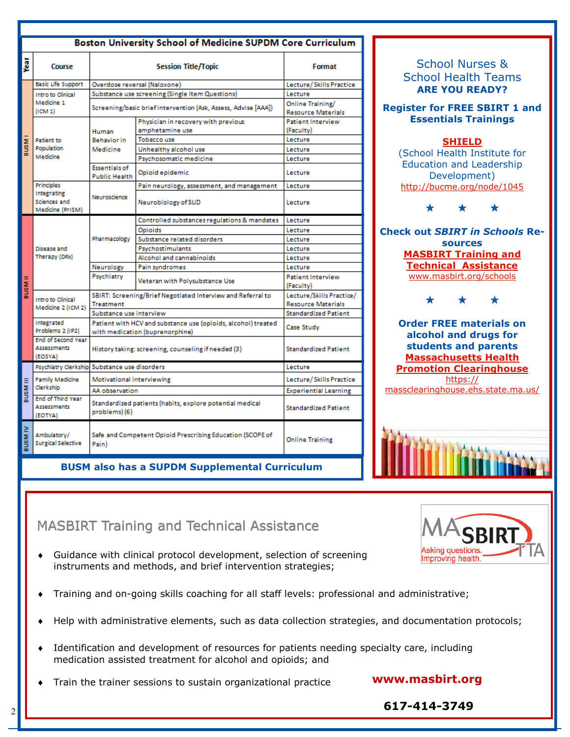| Boston University School of Medicine SUPDM Core Curriculum |                                                            |                                                                                                  |                                                                |                                        |  |
|------------------------------------------------------------|------------------------------------------------------------|--------------------------------------------------------------------------------------------------|----------------------------------------------------------------|----------------------------------------|--|
| jest                                                       | Course                                                     |                                                                                                  | Format                                                         |                                        |  |
| <b>INSP</b>                                                | <b>Basic Life Support</b>                                  | Overdose reversal (Naloxone)                                                                     |                                                                | Lecture/Skills Practice                |  |
|                                                            | Intro to Clinical<br>Medicine 1<br>(ICM 1)                 |                                                                                                  | Substance use screening (Single Item Questions)                | Lecture                                |  |
|                                                            |                                                            |                                                                                                  | Screening/basic brief intervention (Ask, Assess, Advise [AAA]) | Online Training/<br>Resource Materials |  |
|                                                            | Patient to<br>Population<br>Medicine                       | Human<br><b>Behavior</b> in<br>Medicine                                                          | Physician in recovery with previous                            | Patient Interview                      |  |
|                                                            |                                                            |                                                                                                  | amphetamine use                                                | (Faculty)                              |  |
|                                                            |                                                            |                                                                                                  | <b>Tobacco use</b>                                             | Lecture                                |  |
|                                                            |                                                            |                                                                                                  | Unhealthy alcohol use                                          | Lecture                                |  |
|                                                            |                                                            |                                                                                                  | Psychosomatic medicine                                         | Lecture                                |  |
|                                                            |                                                            | <b>Essentials of</b><br><b>Public Health</b>                                                     | Opioid epidemic                                                | Lecture                                |  |
|                                                            | Principles                                                 |                                                                                                  | Pain neurology, assessment, and management                     | Lecture                                |  |
|                                                            | Integrating<br>Sciences and<br>Medicine (PrISM)            | Neuroscience                                                                                     | Neurobiology of SUD                                            | Lecture                                |  |
|                                                            | Disease and<br>Therapy (DRx)                               |                                                                                                  | Controlled substances regulations & mandates                   | Lecture                                |  |
|                                                            |                                                            | Pharmacology                                                                                     | Opioids                                                        | Lecture                                |  |
|                                                            |                                                            |                                                                                                  | Substance related disorders                                    | Lecture                                |  |
|                                                            |                                                            |                                                                                                  | Psychostimulants                                               | Lecture                                |  |
|                                                            |                                                            |                                                                                                  | Alcohol and cannabinoids                                       | Lecture                                |  |
|                                                            |                                                            | Neurology                                                                                        | Pain syndromes                                                 | Lecture                                |  |
| <b>BUSMII</b>                                              |                                                            | Psychiatry                                                                                       | Veteran with Polysubstance Use                                 | <b>Patient Interview</b><br>(Faculty)  |  |
|                                                            | Intro to Clinical                                          | SBIRT: Screening/Brief Negotiated Interview and Referral to                                      |                                                                | Lecture/Skills Practice/               |  |
|                                                            | Medicine 2 (ICM 2)                                         | <b>Treatment</b>                                                                                 |                                                                | <b>Resource Materials</b>              |  |
|                                                            |                                                            | Substance use interview                                                                          |                                                                | <b>Standardized Patient</b>            |  |
|                                                            | Integrated<br>Problems 2 (IP2)                             | Patient with HCV and substance use (opioids, alcohol) treated<br>with medication (buprenorphine) |                                                                | Case Study                             |  |
|                                                            | <b>End of Second Year</b><br><b>Assessments</b><br>(EOSYA) | History taking: screening, counseling if needed (3)                                              |                                                                | <b>Standardized Patient</b>            |  |
| <b>III MSNE</b>                                            |                                                            | Psychiatry Clerkship Substance use disorders                                                     |                                                                | Lecture                                |  |
|                                                            | <b>Family Medicine</b><br>Clerkship                        | Motivational interviewing                                                                        |                                                                | Lecture/Skills Practice                |  |
|                                                            |                                                            | AA observation                                                                                   |                                                                | <b>Experiential Learning</b>           |  |
|                                                            | <b>End of Third Year</b><br><b>Assessments</b><br>(EOTYA)  | Standardized patients (habits, explore potential medical<br>problems) (6)                        |                                                                | <b>Standardized Patient</b>            |  |
| <b>BUSMIV</b>                                              | Ambulatory/<br><b>Surgical Selective</b>                   | Safe and Competent Opioid Prescribing Education (SCOPE of<br>Pain)                               | <b>Online Training</b>                                         |                                        |  |

**BUSM also has a SUPDM Supplemental Curriculum** 

School Nurses & School Health Teams **ARE YOU READY? Register for FREE SBIRT 1 and Essentials Trainings [SHIELD](http://www.SHIELD-BU.org)** (School Health Institute for Education and Leadership Development) <http://bucme.org/node/1045> \* \* \* **Check out** *SBIRT in Schools* **Resources [MASBIRT Training and](http://www.masbirt.org)  [Technical Assistance](http://www.masbirt.org)** [www.masbirt.org/schools](http://www.masbirt.org/schools) \* \* \* **Order FREE materials on alcohol and drugs for students and parents [Massachusetts Health](https://massclearinghouse.ehs.state.ma.us/)  [Promotion Clearinghouse](https://massclearinghouse.ehs.state.ma.us/)** [https://](https://massclearinghouse.ehs.state.ma.us/) [massclearinghouse.ehs.state.ma.us/](https://massclearinghouse.ehs.state.ma.us/)



### MASBIRT Training and Technical Assistance

- Guidance with clinical protocol development, selection of screening instruments and methods, and brief intervention strategies;
- Training and on-going skills coaching for all staff levels: professional and administrative;
- Help with administrative elements, such as data collection strategies, and documentation protocols;
- Identification and development of resources for patients needing specialty care, including medication assisted treatment for alcohol and opioids; and
- Train the trainer sessions to sustain organizational practice **www.masbirt.org**

**Asking questions** Improving health.

 **617-414-3749**

2